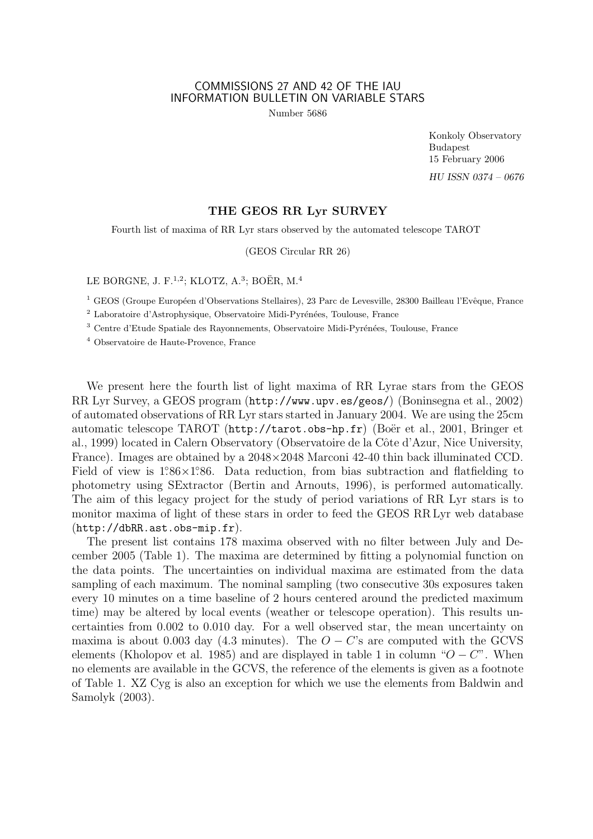## COMMISSIONS 27 AND 42 OF THE IAU INFORMATION BULLETIN ON VARIABLE STARS

Number 5686

Konkoly Observatory Budapest 15 February 2006 HU ISSN 0374 – 0676

## THE GEOS RR Lyr SURVEY

Fourth list of maxima of RR Lyr stars observed by the automated telescope TAROT

(GEOS Circular RR 26)

LE BORGNE, J. F.<sup>1,2</sup>; KLOTZ, A.<sup>3</sup>; BOËR, M.<sup>4</sup>

<sup>1</sup> GEOS (Groupe Européen d'Observations Stellaires), 23 Parc de Levesville, 28300 Bailleau l'Evêque, France

<sup>2</sup> Laboratoire d'Astrophysique, Observatoire Midi-Pyrénées, Toulouse, France

 $^3$  Centre d'Etude Spatiale des Rayonnements, Observatoire Midi-Pyrénées, Toulouse, France

<sup>4</sup> Observatoire de Haute-Provence, France

We present here the fourth list of light maxima of RR Lyrae stars from the GEOS RR Lyr Survey, a GEOS program (http://www.upv.es/geos/) (Boninsegna et al., 2002) of automated observations of RR Lyr stars started in January 2004. We are using the 25cm automatic telescope TAROT (http://tarot.obs-hp.fr) (Boër et al., 2001, Bringer et al., 1999) located in Calern Observatory (Observatoire de la Côte d'Azur, Nice University, France). Images are obtained by a 2048×2048 Marconi 42-40 thin back illuminated CCD. Field of view is  $1.86 \times 1.86$ . Data reduction, from bias subtraction and flatfielding to photometry using SExtractor (Bertin and Arnouts, 1996), is performed automatically. The aim of this legacy project for the study of period variations of RR Lyr stars is to monitor maxima of light of these stars in order to feed the GEOS RR Lyr web database (http://dbRR.ast.obs-mip.fr).

The present list contains 178 maxima observed with no filter between July and December 2005 (Table 1). The maxima are determined by fitting a polynomial function on the data points. The uncertainties on individual maxima are estimated from the data sampling of each maximum. The nominal sampling (two consecutive 30s exposures taken every 10 minutes on a time baseline of 2 hours centered around the predicted maximum time) may be altered by local events (weather or telescope operation). This results uncertainties from 0.002 to 0.010 day. For a well observed star, the mean uncertainty on maxima is about 0.003 day (4.3 minutes). The  $O - C$ 's are computed with the GCVS elements (Kholopov et al. 1985) and are displayed in table 1 in column " $O - C$ ". When no elements are available in the GCVS, the reference of the elements is given as a footnote of Table 1. XZ Cyg is also an exception for which we use the elements from Baldwin and Samolyk (2003).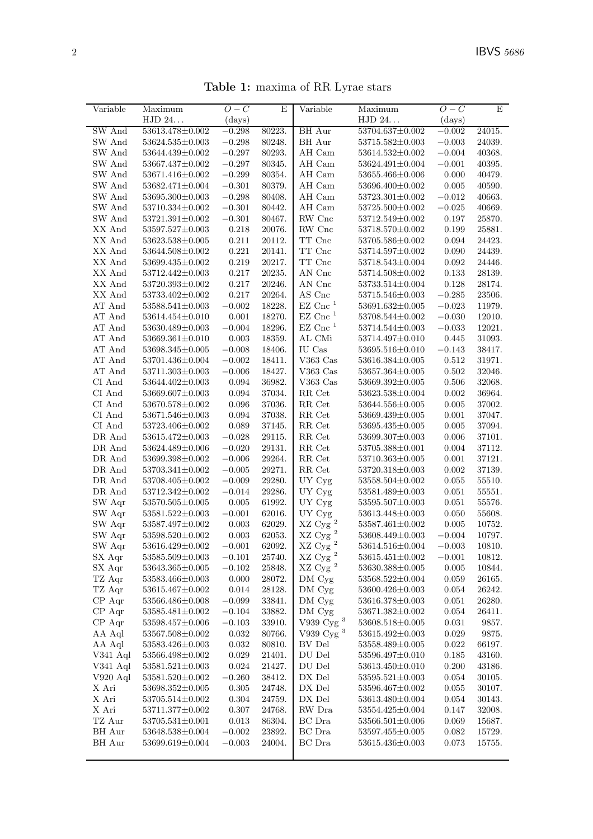Table 1: maxima of RR Lyrae stars

| Variable                              |                       | $O-C$       | E        |                                       |                       | $O-C$      | E        |
|---------------------------------------|-----------------------|-------------|----------|---------------------------------------|-----------------------|------------|----------|
|                                       | Maximum<br>HJD 24     | (days)      |          | Variable                              | Maximum<br>HJD 24     | (days)     |          |
| SW And                                | 53613.478±0.002       | $-0.298$    | 80223.   | BH Aur                                | 53704.637±0.002       | $-0.002$   | 24015.   |
|                                       |                       |             |          |                                       |                       |            |          |
| SW And                                | $53624.535 \pm 0.003$ | $-0.298$    | 80248.   | BH Aur                                | 53715.582±0.003       | $-0.003$   | 24039.   |
| SW And                                | 53644.439±0.002       | $-0.297$    | 80293.   | AH Cam                                | 53614.532±0.002       | $-0.004$   | 40368.   |
| SW And                                | 53667.437±0.002       | $-0.297$    | 80345.   | AH Cam                                | 53624.491±0.004       | $-0.001$   | 40395.   |
| SW And                                | 53671.416±0.002       | $-0.299$    | 80354.   | AH Cam                                | 53655.466±0.006       | 0.000      | 40479.   |
| $\ensuremath{\mathsf{SW}}\xspace$ And | 53682.471±0.004       | $-0.301$    | 80379.   | AH Cam                                | 53696.400±0.002       | 0.005      | 40590.   |
| SW And                                | $53695.300 \pm 0.003$ | $-0.298$    | 80408.   | AH Cam                                | $53723.301 \pm 0.002$ | $-0.012$   | 40663.   |
| SW And                                | 53710.334±0.002       | $-0.301$    | 80442.   | AH Cam                                | 53725.500±0.002       | $-0.025$   | 40669.   |
| SW And                                | $53721.391 \pm 0.002$ | $-0.301$    | 80467.   | RW Cnc                                | 53712.549±0.002       | 0.197      | 25870.   |
| XX And                                | $53597.527 \pm 0.003$ | 0.218       | $20076.$ | RW Cnc                                | 53718.570±0.002       | 0.199      | 25881.   |
| XX And                                | $53623.538\pm0.005$   | 0.211       | 20112.   | $\operatorname{TT}$ Cnc               | 53705.586±0.002       | 0.094      | 24423.   |
| XX And                                | 53644.508±0.002       | 0.221       | 20141.   | $\operatorname{TT}$ Cnc               | 53714.597±0.002       | 0.090      | 24439.   |
| XX And                                | 53699.435±0.002       | 0.219       | 20217.   | $\operatorname{TT}$ Cnc               | 53718.543±0.004       | 0.092      | 24446.   |
| XX And                                | 53712.442±0.003       | 0.217       | 20235.   | AN Cnc                                | 53714.508±0.002       | 0.133      | 28139.   |
| XX And                                | 53720.393±0.002       | 0.217       | 20246.   | AN Cnc                                | 53733.514±0.004       | 0.128      | 28174.   |
| XX And                                | 53733.402±0.002       | 0.217       | 20264.   | AS Cnc                                | 53715.546±0.003       | $-0.285$   | 23506.   |
| AT And                                | $53588.541 \pm 0.003$ | $-0.002$    | 18228.   | $EZ$ Cnc <sup>1</sup>                 | $53691.632 \pm 0.005$ | $-0.023$   | 11979.   |
| AT And                                | 53614.454±0.010       | 0.001       | 18270.   | $EZ$ Cnc <sup>1</sup>                 | 53708.544±0.002       | $-0.030$   | 12010.   |
| AT And                                | 53630.489±0.003       | $-0.004$    | 18296.   | $EZ$ Cnc <sup>1</sup>                 | 53714.544±0.003       | $-0.033$   | 12021.   |
| AT And                                | $53669.361 \pm 0.010$ | 0.003       | 18359.   | AL CMi                                | 53714.497±0.010       | 0.445      | 31093.   |
| AT And                                | 53698.345±0.005       | $-0.008$    | 18406.   | $\rm IU~Cas$                          | 53695.516±0.010       | $-0.143$   | 38417.   |
| AT And                                | 53701.436±0.004       | $-0.002$    | 18411.   | V363 Cas                              | 53616.384±0.005       | 0.512      | 31971.   |
| AT And                                | $53711.303 \pm 0.003$ | $-0.006$    | 18427.   | V363 Cas                              | 53657.364±0.005       | 0.502      | 32046.   |
| CI And                                | 53644.402±0.003       | 0.094       | 36982.   | V363 Cas                              | 53669.392±0.005       | 0.506      | 32068.   |
| CI And                                | 53669.607±0.003       | 0.094       | 37034.   | RR Cet                                | 53623.538±0.004       | 0.002      | 36964.   |
| CI And                                | 53670.578±0.002       | $\,0.096\,$ | 37036.   | RR Cet                                | 53644.556±0.005       | 0.005      | 37002.   |
| CI And                                | 53671.546±0.003       | 0.094       | 37038.   | RR Cet                                | 53669.439±0.005       | 0.001      | 37047.   |
| $\rm CI~And$                          | 53723.406±0.002       | 0.089       | 37145.   | $\ensuremath{\mathsf{RR}}\xspace$ Cet | 53695.435±0.005       | 0.005      | 37094.   |
| DR And                                | 53615.472±0.003       | $-0.028$    | 29115.   | RR Cet                                | 53699.307±0.003       | 0.006      | 37101.   |
| DR And                                | 53624.489±0.006       | $-0.020$    | 29131.   | RR Cet                                | 53705.388±0.001       | 0.004      | 37112.   |
| DR And                                | 53699.398±0.002       | $-0.006$    | 29264.   | $\ensuremath{\mathsf{RR}}\xspace$ Cet | 53710.363±0.005       | 0.001      | 37121.   |
| DR And                                | $53703.341 \pm 0.002$ | $-0.005$    | 29271.   | RR Cet                                | 53720.318±0.003       | 0.002      | 37139.   |
| DR And                                | 53708.405±0.002       | $-0.009$    | 29280.   | UY Cyg                                | 53558.504±0.002       | 0.055      | 55510.   |
| DR And                                | 53712.342±0.002       | $-0.014$    | 29286.   | UY Cyg                                | 53581.489±0.003       | 0.051      | 55551.   |
| $\rm SW$ $\rm Aqr$                    | $53570.505 \pm 0.005$ | 0.005       | 61992.   | UY Cyg                                | 53595.507±0.003       | 0.051      | 55576.   |
| SW Aqr                                | $53581.522 \pm 0.003$ | $-0.001$    | 62016.   | UY Cyg                                | 53613.448±0.003       | 0.050      | 55608.   |
| SW Aqr                                | 53587.497±0.002       | 0.003       | 62029.   | $\rm XZ$ Cyg $^2$                     | 53587.461±0.002       | 0.005      | 10752.   |
| SW Aqr                                | $53598.520 \pm 0.002$ | 0.003       | 62053.   | $\rm XZ$ Cyg $^2$                     | 53608.449±0.003       | $-0.004$   | 10797.   |
| SW Aqr                                | $53616.429{\pm}0.002$ | $-0.001$    | 62092.   | XZ Cyg <sup>2</sup>                   | $53614.516 \pm 0.004$ | $-0.003\,$ | 10810.   |
| ${\rm SX \; Aqr}$                     | $53585.509 \pm 0.003$ | $-0.101$    | 25740.   | $\rm XZ$ Cyg $^2$                     | $53615.451{\pm}0.002$ | $-0.001$   | 10812.   |
| SX Aqr                                | $53643.365 \pm 0.005$ | $-0.102$    | 25848.   | $\rm XZ$ Cy<br>g $^2$                 | 53630.388±0.005       | 0.005      | 10844.   |
| TZ Aqr                                | 53583.466±0.003       | 0.000       | 28072.   | DM Cyg                                | 53568.522±0.004       | 0.059      | 26165.   |
| TZ Aqr                                | $53615.467 \pm 0.002$ | 0.014       | 28128.   | DM Cyg                                | $53600.426 \pm 0.003$ | 0.054      | 26242.   |
| CP Aqr                                | $53566.486 \pm 0.008$ | $-0.099$    | 33841.   | DM Cyg                                | 53616.378±0.003       | 0.051      | 26280.   |
| CP Aqr                                | 53585.481±0.002       | $-0.104$    | 33882.   | DM Cyg                                | 53671.382±0.002       | 0.054      | 26411.   |
| CP Aqr                                | 53598.457±0.006       | $-0.103$    | 33910.   | V939 Cyg $^3$                         | 53608.518±0.005       | 0.031      | 9857.    |
| AA Aql                                | 53567.508±0.002       | 0.032       | 80766.   | V939 Cyg <sup>3</sup>                 | 53615.492±0.003       | 0.029      | 9875.    |
| AA Aql                                | $53583.426 \pm 0.003$ | 0.032       | 80810.   | BV Del                                | 53558.489±0.005       | 0.022      | 66197.   |
| V341 Aql                              | $53566.498 \pm 0.002$ | 0.029       | 21401.   | DU Del                                | 53596.497±0.010       | 0.185      | 43160.   |
| V341 Aql                              | $53581.521 \pm 0.003$ | 0.024       | 21427.   | $\rm DU$ $\rm Del$                    | 53613.450±0.010       | 0.200      | 43186.   |
|                                       |                       |             |          |                                       |                       |            |          |
| V920 Aql                              | $53581.520 \pm 0.002$ | $-0.260$    | 38412.   | DX Del                                | $53595.521 \pm 0.003$ | 0.054      | 30105.   |
| $\mathbf X$ Ari                       | $53698.352 \pm 0.005$ | 0.305       | 24748.   | DX Del                                | 53596.467±0.002       | 0.055      | 30107.   |
| X Ari                                 | $53705.514 \pm 0.002$ | 0.304       | 24759.   | DX Del                                | 53613.480±0.004       | 0.054      | 30143.   |
| X Ari                                 | 53711.377±0.002       | 0.307       | 24768.   | RW Dra                                | 53554.425±0.004       | 0.147      | 32008.   |
| TZ Aur                                | $53705.531 \pm 0.001$ | $\,0.013\,$ | 86304.   | BC Dra                                | 53566.501±0.006       | 0.069      | 15687.   |
| BH Aur                                | 53648.538±0.004       | $-0.002$    | 23892.   | $\operatorname{BC}$ Dra               | 53597.455±0.005       | 0.082      | 15729.   |
| BH Aur                                | 53699.619±0.004       | $-0.003$    | 24004.   | BC Dra                                | 53615.436±0.003       | 0.073      | $15755.$ |
|                                       |                       |             |          |                                       |                       |            |          |